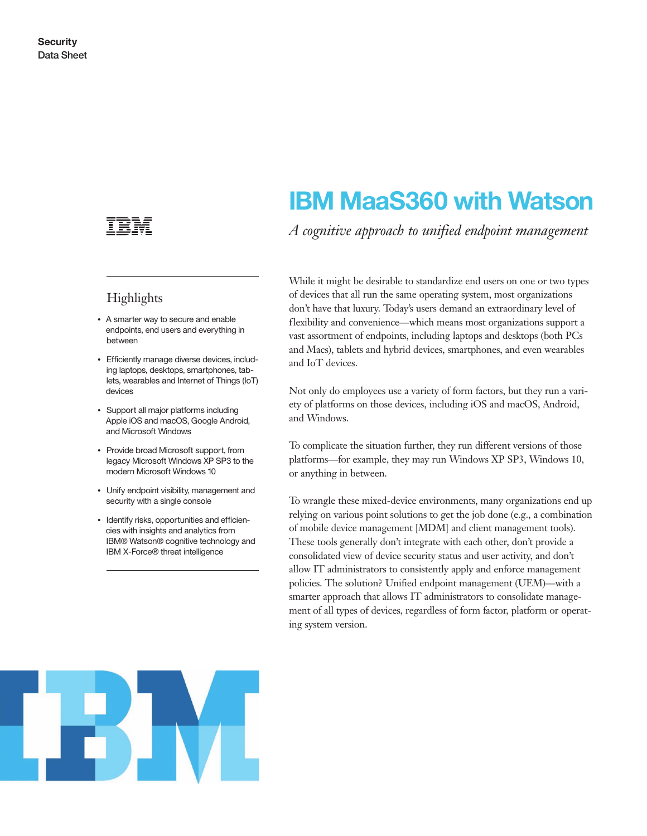

## Highlights

- A smarter way to secure and enable endpoints, end users and everything in between
- Efficiently manage diverse devices, including laptops, desktops, smartphones, tablets, wearables and Internet of Things (IoT) devices
- Support all major platforms including Apple iOS and macOS, Google Android, and Microsoft Windows
- Provide broad Microsoft support, from legacy Microsoft Windows XP SP3 to the modern Microsoft Windows 10
- Unify endpoint visibility, management and security with a single console
- Identify risks, opportunities and efficiencies with insights and analytics from IBM® Watson® cognitive technology and IBM X-Force® threat intelligence

# **IBM MaaS360 with Watson**

*A cognitive approach to unified endpoint management*

While it might be desirable to standardize end users on one or two types of devices that all run the same operating system, most organizations don't have that luxury. Today's users demand an extraordinary level of flexibility and convenience—which means most organizations support a vast assortment of endpoints, including laptops and desktops (both PCs and Macs), tablets and hybrid devices, smartphones, and even wearables and IoT devices.

Not only do employees use a variety of form factors, but they run a variety of platforms on those devices, including iOS and macOS, Android, and Windows.

To complicate the situation further, they run different versions of those platforms—for example, they may run Windows XP SP3, Windows 10, or anything in between.

To wrangle these mixed-device environments, many organizations end up relying on various point solutions to get the job done (e.g., a combination of mobile device management [MDM] and client management tools). These tools generally don't integrate with each other, don't provide a consolidated view of device security status and user activity, and don't allow IT administrators to consistently apply and enforce management policies. The solution? Unified endpoint management (UEM)—with a smarter approach that allows IT administrators to consolidate management of all types of devices, regardless of form factor, platform or operating system version.

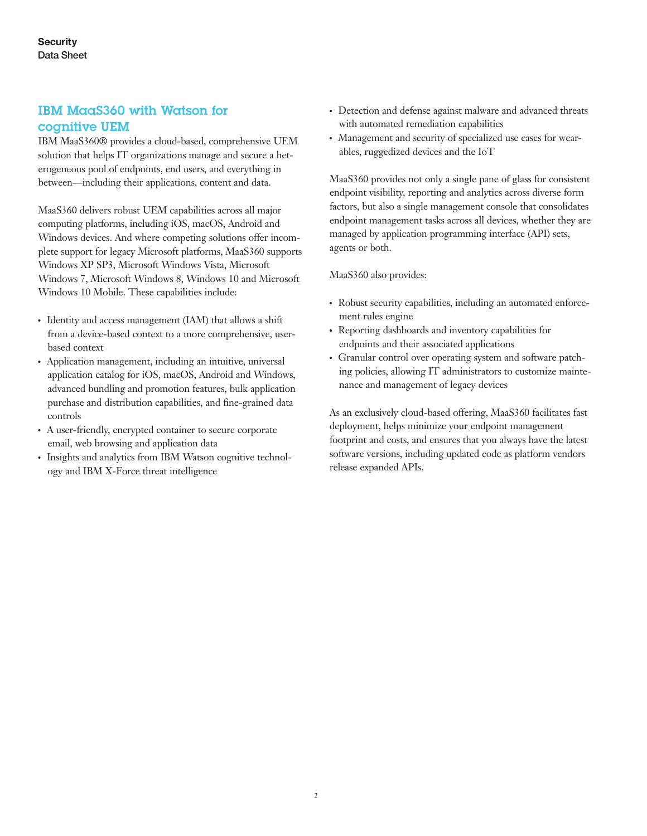## IBM MaaS360 with Watson for cognitive UEM

IBM MaaS360® provides a cloud-based, comprehensive UEM solution that helps IT organizations manage and secure a heterogeneous pool of endpoints, end users, and everything in between—including their applications, content and data.

MaaS360 delivers robust UEM capabilities across all major computing platforms, including iOS, macOS, Android and Windows devices. And where competing solutions offer incomplete support for legacy Microsoft platforms, MaaS360 supports Windows XP SP3, Microsoft Windows Vista, Microsoft Windows 7, Microsoft Windows 8, Windows 10 and Microsoft Windows 10 Mobile. These capabilities include:

- Identity and access management (IAM) that allows a shift from a device-based context to a more comprehensive, userbased context
- Application management, including an intuitive, universal application catalog for iOS, macOS, Android and Windows, advanced bundling and promotion features, bulk application purchase and distribution capabilities, and fine-grained data controls
- A user-friendly, encrypted container to secure corporate email, web browsing and application data
- Insights and analytics from IBM Watson cognitive technology and IBM X-Force threat intelligence
- Detection and defense against malware and advanced threats with automated remediation capabilities
- Management and security of specialized use cases for wearables, ruggedized devices and the IoT

MaaS360 provides not only a single pane of glass for consistent endpoint visibility, reporting and analytics across diverse form factors, but also a single management console that consolidates endpoint management tasks across all devices, whether they are managed by application programming interface (API) sets, agents or both.

#### MaaS360 also provides:

- Robust security capabilities, including an automated enforcement rules engine
- Reporting dashboards and inventory capabilities for endpoints and their associated applications
- Granular control over operating system and software patching policies, allowing IT administrators to customize maintenance and management of legacy devices

As an exclusively cloud-based offering, MaaS360 facilitates fast deployment, helps minimize your endpoint management footprint and costs, and ensures that you always have the latest software versions, including updated code as platform vendors release expanded APIs.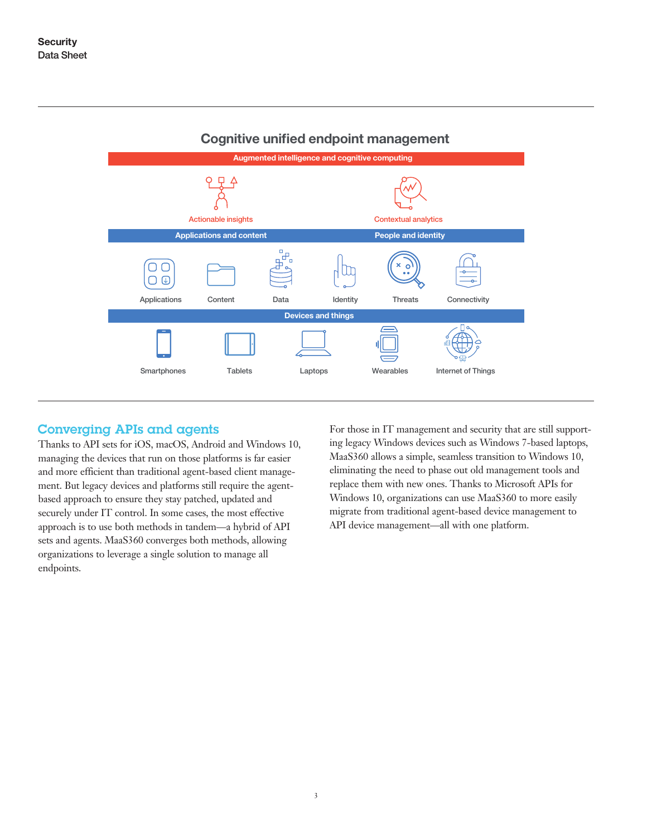

#### **Cognitive unified endpoint management**

## Converging APIs and agents

Thanks to API sets for iOS, macOS, Android and Windows 10, managing the devices that run on those platforms is far easier and more efficient than traditional agent-based client management. But legacy devices and platforms still require the agentbased approach to ensure they stay patched, updated and securely under IT control. In some cases, the most effective approach is to use both methods in tandem—a hybrid of API sets and agents. MaaS360 converges both methods, allowing organizations to leverage a single solution to manage all endpoints.

For those in IT management and security that are still supporting legacy Windows devices such as Windows 7-based laptops, MaaS360 allows a simple, seamless transition to Windows 10, eliminating the need to phase out old management tools and replace them with new ones. Thanks to Microsoft APIs for Windows 10, organizations can use MaaS360 to more easily migrate from traditional agent-based device management to API device management—all with one platform.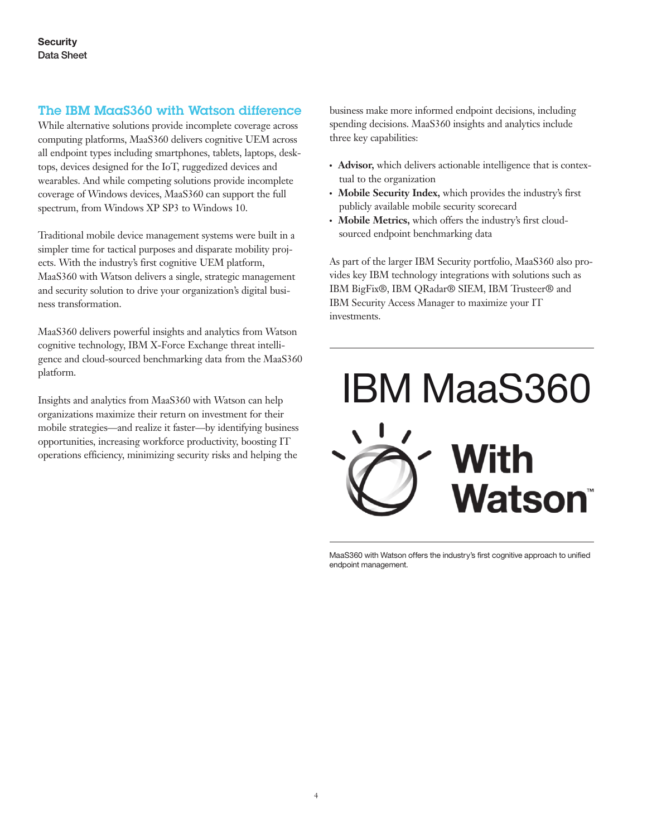## The IBM MaaS360 with Watson difference

While alternative solutions provide incomplete coverage across computing platforms, MaaS360 delivers cognitive UEM across all endpoint types including smartphones, tablets, laptops, desktops, devices designed for the IoT, ruggedized devices and wearables. And while competing solutions provide incomplete coverage of Windows devices, MaaS360 can support the full spectrum, from Windows XP SP3 to Windows 10.

Traditional mobile device management systems were built in a simpler time for tactical purposes and disparate mobility projects. With the industry's first cognitive UEM platform, MaaS360 with Watson delivers a single, strategic management and security solution to drive your organization's digital business transformation.

MaaS360 delivers powerful insights and analytics from Watson cognitive technology, IBM X-Force Exchange threat intelligence and cloud-sourced benchmarking data from the MaaS360 platform.

Insights and analytics from MaaS360 with Watson can help organizations maximize their return on investment for their mobile strategies—and realize it faster—by identifying business opportunities, increasing workforce productivity, boosting IT operations efficiency, minimizing security risks and helping the

business make more informed endpoint decisions, including spending decisions. MaaS360 insights and analytics include three key capabilities:

- Advisor, which delivers actionable intelligence that is contextual to the organization
- Mobile Security Index, which provides the industry's first publicly available mobile security scorecard
- Mobile Metrics, which offers the industry's first cloudsourced endpoint benchmarking data

As part of the larger IBM Security portfolio, MaaS360 also provides key IBM technology integrations with solutions such as IBM BigFix®, IBM QRadar® SIEM, IBM Trusteer® and IBM Security Access Manager to maximize your IT investments.



MaaS360 with Watson offers the industry's first cognitive approach to unified endpoint management.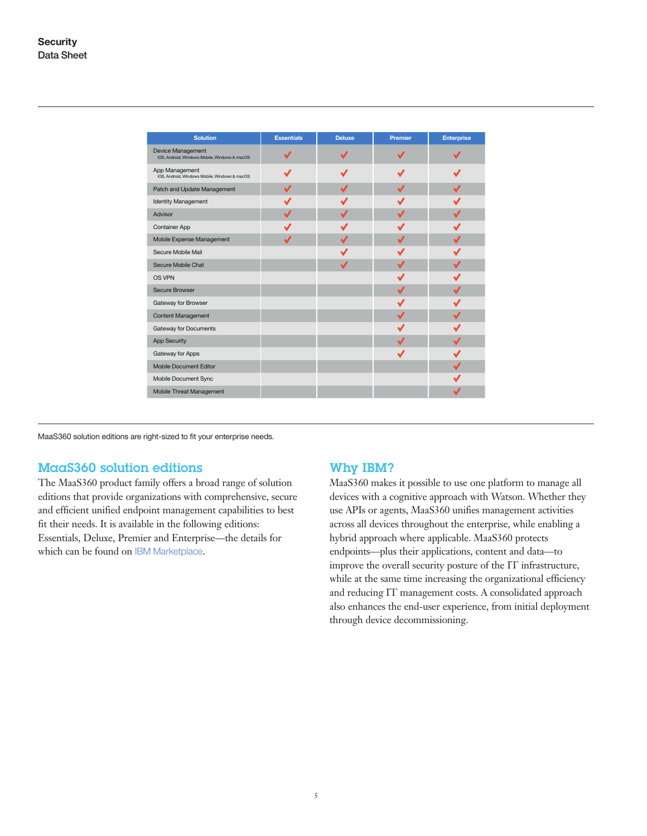| <b>Solution</b>                                                    | <b>Essentials</b> | <b>Deluxe</b> | <b>Premier</b> | <b>Enterprise</b> |
|--------------------------------------------------------------------|-------------------|---------------|----------------|-------------------|
| Device Management<br>iOS, Android, Windows Mobile, Windows & macOS |                   |               |                |                   |
| App Management<br>iOS, Android, Windows Mobile, Windows & macOS    |                   |               |                |                   |
| Patch and Update Management                                        | √                 |               | J              |                   |
| <b>Identity Management</b>                                         |                   |               |                |                   |
| Advisor                                                            | ✓                 |               |                |                   |
| <b>Container App</b>                                               |                   |               |                |                   |
| Mobile Expense Management                                          | ✔                 |               | ┙              |                   |
| Secure Mobile Mail                                                 |                   |               |                |                   |
| Secure Mobile Chat                                                 |                   |               |                |                   |
| OS VPN                                                             |                   |               |                |                   |
| Secure Browser                                                     |                   |               | ✔              |                   |
| Gateway for Browser                                                |                   |               |                |                   |
| <b>Content Management</b>                                          |                   |               |                |                   |
| Gateway for Documents                                              |                   |               |                |                   |
| <b>App Security</b>                                                |                   |               |                |                   |
| Gateway for Apps                                                   |                   |               |                |                   |
| <b>Mobile Document Editor</b>                                      |                   |               |                |                   |
| Mobile Document Sync                                               |                   |               |                |                   |
| Mobile Threat Management                                           |                   |               |                |                   |

MaaS360 solution editions are right-sized to fit your enterprise needs.

#### MaaS360 solution editions

The MaaS360 product family offers a broad range of solution editions that provide organizations with comprehensive, secure and efficient unified endpoint management capabilities to best fit their needs. It is available in the following editions: Essentials, Deluxe, Premier and Enterprise—the details for which can be found on [IBM Marketplace](https://www.ibm.com/us-en/marketplace/mobile-device-management/purchase).

#### Why IBM?

MaaS360 makes it possible to use one platform to manage all devices with a cognitive approach with Watson. Whether they use APIs or agents, MaaS360 unifies management activities across all devices throughout the enterprise, while enabling a hybrid approach where applicable. MaaS360 protects endpoints—plus their applications, content and data—to improve the overall security posture of the IT infrastructure, while at the same time increasing the organizational efficiency and reducing IT management costs. A consolidated approach also enhances the end-user experience, from initial deployment through device decommissioning.